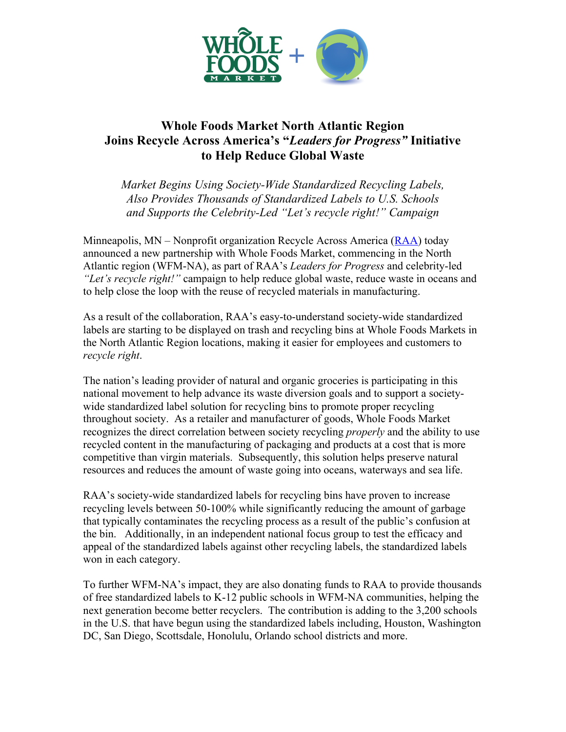

## **Whole Foods Market North Atlantic Region Joins Recycle Across America's "***Leaders for Progress"* **Initiative to Help Reduce Global Waste**

*Market Begins Using Society-Wide Standardized Recycling Labels, Also Provides Thousands of Standardized Labels to U.S. Schools and Supports the Celebrity-Led "Let's recycle right!" Campaign* 

Minneapolis, MN – Nonprofit organization Recycle Across America (RAA) today announced a new partnership with Whole Foods Market, commencing in the North Atlantic region (WFM-NA), as part of RAA's *Leaders for Progress* and celebrity-led *"Let's recycle right!"* campaign to help reduce global waste, reduce waste in oceans and to help close the loop with the reuse of recycled materials in manufacturing.

As a result of the collaboration, RAA's easy-to-understand society-wide standardized labels are starting to be displayed on trash and recycling bins at Whole Foods Markets in the North Atlantic Region locations, making it easier for employees and customers to *recycle right*.

The nation's leading provider of natural and organic groceries is participating in this national movement to help advance its waste diversion goals and to support a societywide standardized label solution for recycling bins to promote proper recycling throughout society. As a retailer and manufacturer of goods, Whole Foods Market recognizes the direct correlation between society recycling *properly* and the ability to use recycled content in the manufacturing of packaging and products at a cost that is more competitive than virgin materials. Subsequently, this solution helps preserve natural resources and reduces the amount of waste going into oceans, waterways and sea life.

RAA's society-wide standardized labels for recycling bins have proven to increase recycling levels between 50-100% while significantly reducing the amount of garbage that typically contaminates the recycling process as a result of the public's confusion at the bin. Additionally, in an independent national focus group to test the efficacy and appeal of the standardized labels against other recycling labels, the standardized labels won in each category.

To further WFM-NA's impact, they are also donating funds to RAA to provide thousands of free standardized labels to K-12 public schools in WFM-NA communities, helping the next generation become better recyclers. The contribution is adding to the 3,200 schools in the U.S. that have begun using the standardized labels including, Houston, Washington DC, San Diego, Scottsdale, Honolulu, Orlando school districts and more.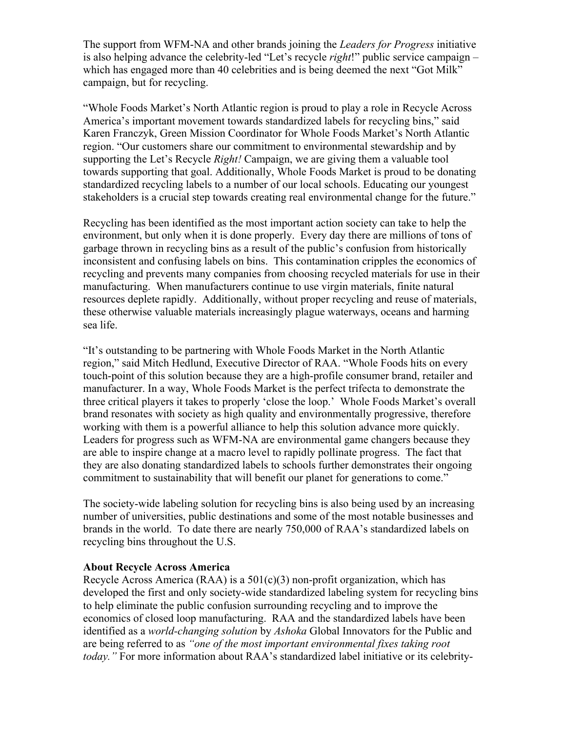The support from WFM-NA and other brands joining the *Leaders for Progress* initiative is also helping advance the celebrity-led "Let's recycle *right*!" public service campaign – which has engaged more than 40 celebrities and is being deemed the next "Got Milk" campaign, but for recycling.

"Whole Foods Market's North Atlantic region is proud to play a role in Recycle Across America's important movement towards standardized labels for recycling bins," said Karen Franczyk, Green Mission Coordinator for Whole Foods Market's North Atlantic region. "Our customers share our commitment to environmental stewardship and by supporting the Let's Recycle *Right!* Campaign, we are giving them a valuable tool towards supporting that goal. Additionally, Whole Foods Market is proud to be donating standardized recycling labels to a number of our local schools. Educating our youngest stakeholders is a crucial step towards creating real environmental change for the future."

Recycling has been identified as the most important action society can take to help the environment, but only when it is done properly. Every day there are millions of tons of garbage thrown in recycling bins as a result of the public's confusion from historically inconsistent and confusing labels on bins. This contamination cripples the economics of recycling and prevents many companies from choosing recycled materials for use in their manufacturing. When manufacturers continue to use virgin materials, finite natural resources deplete rapidly. Additionally, without proper recycling and reuse of materials, these otherwise valuable materials increasingly plague waterways, oceans and harming sea life.

"It's outstanding to be partnering with Whole Foods Market in the North Atlantic region," said Mitch Hedlund, Executive Director of RAA. "Whole Foods hits on every touch-point of this solution because they are a high-profile consumer brand, retailer and manufacturer. In a way, Whole Foods Market is the perfect trifecta to demonstrate the three critical players it takes to properly 'close the loop.' Whole Foods Market's overall brand resonates with society as high quality and environmentally progressive, therefore working with them is a powerful alliance to help this solution advance more quickly. Leaders for progress such as WFM-NA are environmental game changers because they are able to inspire change at a macro level to rapidly pollinate progress. The fact that they are also donating standardized labels to schools further demonstrates their ongoing commitment to sustainability that will benefit our planet for generations to come."

The society-wide labeling solution for recycling bins is also being used by an increasing number of universities, public destinations and some of the most notable businesses and brands in the world. To date there are nearly 750,000 of RAA's standardized labels on recycling bins throughout the U.S.

## **About Recycle Across America**

Recycle Across America (RAA) is a  $501(c)(3)$  non-profit organization, which has developed the first and only society-wide standardized labeling system for recycling bins to help eliminate the public confusion surrounding recycling and to improve the economics of closed loop manufacturing. RAA and the standardized labels have been identified as a *world-changing solution* by *Ashoka* Global Innovators for the Public and are being referred to as *"one of the most important environmental fixes taking root today."* For more information about RAA's standardized label initiative or its celebrity